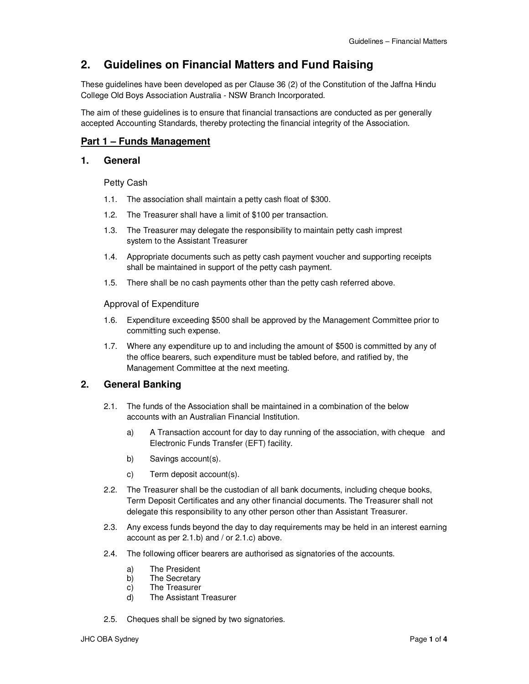# **2. Guidelines on Financial Matters and Fund Raising**

These guidelines have been developed as per Clause 36 (2) of the Constitution of the Jaffna Hindu College Old Boys Association Australia - NSW Branch Incorporated.

The aim of these guidelines is to ensure that financial transactions are conducted as per generally accepted Accounting Standards, thereby protecting the financial integrity of the Association.

# **Part 1 – Funds Management**

### **1. General**

Petty Cash

- 1.1. The association shall maintain a petty cash float of \$300.
- 1.2. The Treasurer shall have a limit of \$100 per transaction.
- 1.3. The Treasurer may delegate the responsibility to maintain petty cash imprest system to the Assistant Treasurer
- 1.4. Appropriate documents such as petty cash payment voucher and supporting receipts shall be maintained in support of the petty cash payment.
- 1.5. There shall be no cash payments other than the petty cash referred above.

Approval of Expenditure

- 1.6. Expenditure exceeding \$500 shall be approved by the Management Committee prior to committing such expense.
- 1.7. Where any expenditure up to and including the amount of \$500 is committed by any of the office bearers, such expenditure must be tabled before, and ratified by, the Management Committee at the next meeting.

# **2. General Banking**

- 2.1. The funds of the Association shall be maintained in a combination of the below accounts with an Australian Financial Institution.
	- a) A Transaction account for day to day running of the association, with cheque and Electronic Funds Transfer (EFT) facility.
	- b) Savings account(s).
	- c) Term deposit account(s).
- 2.2. The Treasurer shall be the custodian of all bank documents, including cheque books, Term Deposit Certificates and any other financial documents. The Treasurer shall not delegate this responsibility to any other person other than Assistant Treasurer.
- 2.3. Any excess funds beyond the day to day requirements may be held in an interest earning account as per 2.1.b) and / or 2.1.c) above.
- 2.4. The following officer bearers are authorised as signatories of the accounts.
	- a) The President
	- b) The Secretary
	- c) The Treasurer
	- d) The Assistant Treasurer
- 2.5. Cheques shall be signed by two signatories.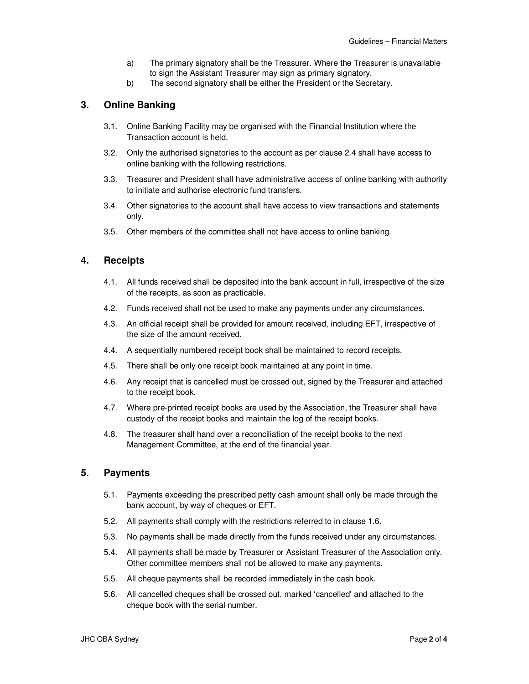- a) The primary signatory shall be the Treasurer. Where the Treasurer is unavailable to sign the Assistant Treasurer may sign as primary signatory.
- b) The second signatory shall be either the President or the Secretary.

# **3. Online Banking**

- 3.1. Online Banking Facility may be organised with the Financial Institution where the Transaction account is held.
- 3.2. Only the authorised signatories to the account as per clause 2.4 shall have access to online banking with the following restrictions.
- 3.3. Treasurer and President shall have administrative access of online banking with authority to initiate and authorise electronic fund transfers.
- 3.4. Other signatories to the account shall have access to view transactions and statements only.
- 3.5. Other members of the committee shall not have access to online banking.

# **4. Receipts**

- 4.1. All funds received shall be deposited into the bank account in full, irrespective of the size of the receipts, as soon as practicable.
- 4.2. Funds received shall not be used to make any payments under any circumstances.
- 4.3. An official receipt shall be provided for amount received, including EFT, irrespective of the size of the amount received.
- 4.4. A sequentially numbered receipt book shall be maintained to record receipts.
- 4.5. There shall be only one receipt book maintained at any point in time.
- 4.6. Any receipt that is cancelled must be crossed out, signed by the Treasurer and attached to the receipt book.
- 4.7. Where pre-printed receipt books are used by the Association, the Treasurer shall have custody of the receipt books and maintain the log of the receipt books.
- 4.8. The treasurer shall hand over a reconciliation of the receipt books to the next Management Committee, at the end of the financial year.

# **5. Payments**

- 5.1. Payments exceeding the prescribed petty cash amount shall only be made through the bank account, by way of cheques or EFT.
- 5.2. All payments shall comply with the restrictions referred to in clause 1.6.
- 5.3. No payments shall be made directly from the funds received under any circumstances.
- 5.4. All payments shall be made by Treasurer or Assistant Treasurer of the Association only. Other committee members shall not be allowed to make any payments.
- 5.5. All cheque payments shall be recorded immediately in the cash book.
- 5.6. All cancelled cheques shall be crossed out, marked 'cancelled' and attached to the cheque book with the serial number.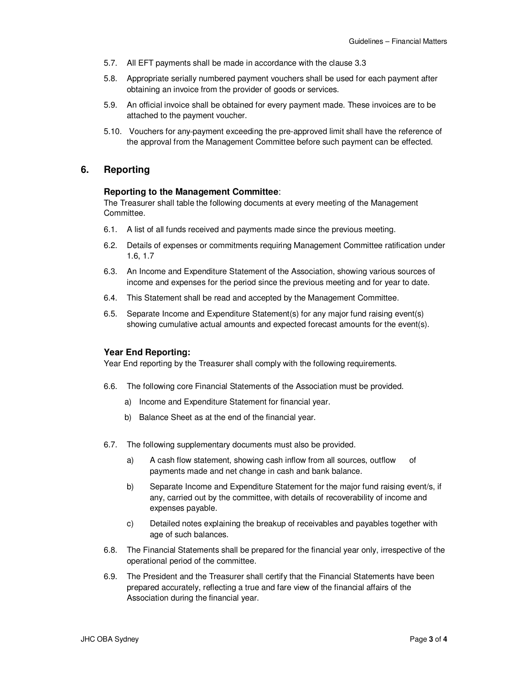- 5.7. All EFT payments shall be made in accordance with the clause 3.3
- 5.8. Appropriate serially numbered payment vouchers shall be used for each payment after obtaining an invoice from the provider of goods or services.
- 5.9. An official invoice shall be obtained for every payment made. These invoices are to be attached to the payment voucher.
- 5.10. Vouchers for any payment exceeding the pre-approved limit shall have the reference of the approval from the Management Committee before such payment can be effected.

### **6. Reporting**

#### **Reporting to the Management Committee**:

The Treasurer shall table the following documents at every meeting of the Management Committee.

- 6.1. A list of all funds received and payments made since the previous meeting.
- 6.2. Details of expenses or commitments requiring Management Committee ratification under 1.6, 1.7
- 6.3. An Income and Expenditure Statement of the Association, showing various sources of income and expenses for the period since the previous meeting and for year to date.
- 6.4. This Statement shall be read and accepted by the Management Committee.
- 6.5. Separate Income and Expenditure Statement(s) for any major fund raising event(s) showing cumulative actual amounts and expected forecast amounts for the event(s).

### **Year End Reporting:**

Year End reporting by the Treasurer shall comply with the following requirements.

- 6.6. The following core Financial Statements of the Association must be provided.
	- a) Income and Expenditure Statement for financial year.
	- b) Balance Sheet as at the end of the financial year.
- 6.7. The following supplementary documents must also be provided.
	- a) A cash flow statement, showing cash inflow from all sources, outflow of payments made and net change in cash and bank balance.
	- b) Separate Income and Expenditure Statement for the major fund raising event/s, if any, carried out by the committee, with details of recoverability of income and expenses payable.
	- c) Detailed notes explaining the breakup of receivables and payables together with age of such balances.
- 6.8. The Financial Statements shall be prepared for the financial year only, irrespective of the operational period of the committee.
- 6.9. The President and the Treasurer shall certify that the Financial Statements have been prepared accurately, reflecting a true and fare view of the financial affairs of the Association during the financial year.